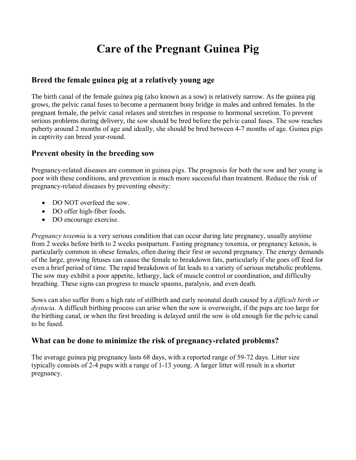# **Care of the Pregnant Guinea Pig**

# **Breed the female guinea pig at a relatively young age**

The birth canal of the female guinea pig (also known as a sow) is relatively narrow. As the guinea pig grows, the pelvic canal fuses to become a permanent bony bridge in males and unbred females. In the pregnant female, the pelvic canal relaxes and stretches in response to hormonal secretion. To prevent serious problems during delivery, the sow should be bred before the pelvic canal fuses. The sow reaches puberty around 2 months of age and ideally, she should be bred between 4-7 months of age. Guinea pigs in captivity can breed year-round.

# **Prevent obesity in the breeding sow**

Pregnancy-related diseases are common in guinea pigs. The prognosis for both the sow and her young is poor with these conditions, and prevention is much more successful than treatment. Reduce the risk of pregnancy-related diseases by preventing obesity:

- DO NOT overfeed the sow
- DO offer high-fiber foods.
- DO encourage exercise.

*Pregnancy toxemia* is a very serious condition that can occur during late pregnancy, usually anytime from 2 weeks before birth to 2 weeks postpartum. Fasting pregnancy toxemia, or pregnancy ketosis, is particularly common in obese females, often during their first or second pregnancy. The energy demands of the large, growing fetuses can cause the female to breakdown fats, particularly if she goes off feed for even a brief period of time. The rapid breakdown of fat leads to a variety of serious metabolic problems. The sow may exhibit a poor appetite, lethargy, lack of muscle control or coordination, and difficulty breathing. These signs can progress to muscle spasms, paralysis, and even death.

Sows can also suffer from a high rate of stillbirth and early neonatal death caused by a *difficult birth or dystocia*. A difficult birthing process can arise when the sow is overweight, if the pups are too large for the birthing canal, or when the first breeding is delayed until the sow is old enough for the pelvic canal to be fused.

# **What can be done to minimize the risk of pregnancy-related problems?**

The average guinea pig pregnancy lasts 68 days, with a reported range of 59-72 days. Litter size typically consists of 2-4 pups with a range of 1-13 young. A larger litter will result in a shorter pregnancy.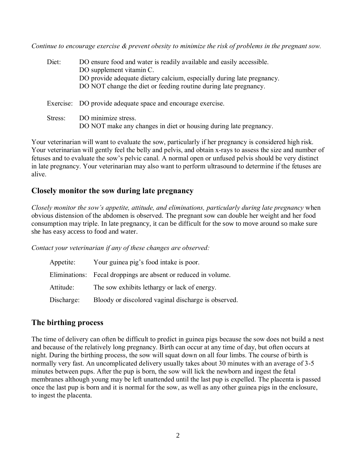*Continue to encourage exercise & prevent obesity to minimize the risk of problems in the pregnant sow.*

| Diet:   | DO ensure food and water is readily available and easily accessible.<br>DO supplement vitamin C.<br>DO provide adequate dietary calcium, especially during late pregnancy.<br>DO NOT change the diet or feeding routine during late pregnancy. |
|---------|------------------------------------------------------------------------------------------------------------------------------------------------------------------------------------------------------------------------------------------------|
|         | Exercise: DO provide adequate space and encourage exercise.                                                                                                                                                                                    |
| Stress: | DO minimize stress.<br>DO NOT make any changes in diet or housing during late pregnancy.                                                                                                                                                       |

Your veterinarian will want to evaluate the sow, particularly if her pregnancy is considered high risk. Your veterinarian will gently feel the belly and pelvis, and obtain x-rays to assess the size and number of fetuses and to evaluate the sow's pelvic canal. A normal open or unfused pelvis should be very distinct in late pregnancy. Your veterinarian may also want to perform ultrasound to determine if the fetuses are alive.

### **Closely monitor the sow during late pregnancy**

*Closely monitor the sow's appetite, attitude, and eliminations, particularly during late pregnancy when* obvious distension of the abdomen is observed. The pregnant sow can double her weight and her food consumption may triple. In late pregnancy, it can be difficult for the sow to move around so make sure she has easy access to food and water.

*Contact your veterinarian if any of these changes are observed:*

| Appetite:  | Your guinea pig's food intake is poor.                         |
|------------|----------------------------------------------------------------|
|            | Eliminations: Fecal droppings are absent or reduced in volume. |
| Attitude:  | The sow exhibits lethargy or lack of energy.                   |
| Discharge: | Bloody or discolored vaginal discharge is observed.            |

#### **The birthing process**

The time of delivery can often be difficult to predict in guinea pigs because the sow does not build a nest and because of the relatively long pregnancy. Birth can occur at any time of day, but often occurs at night. During the birthing process, the sow will squat down on all four limbs. The course of birth is normally very fast. An uncomplicated delivery usually takes about 30 minutes with an average of 3-5 minutes between pups. After the pup is born, the sow will lick the newborn and ingest the fetal membranes although young may be left unattended until the last pup is expelled. The placenta is passed once the last pup is born and it is normal for the sow, as well as any other guinea pigs in the enclosure, to ingest the placenta.